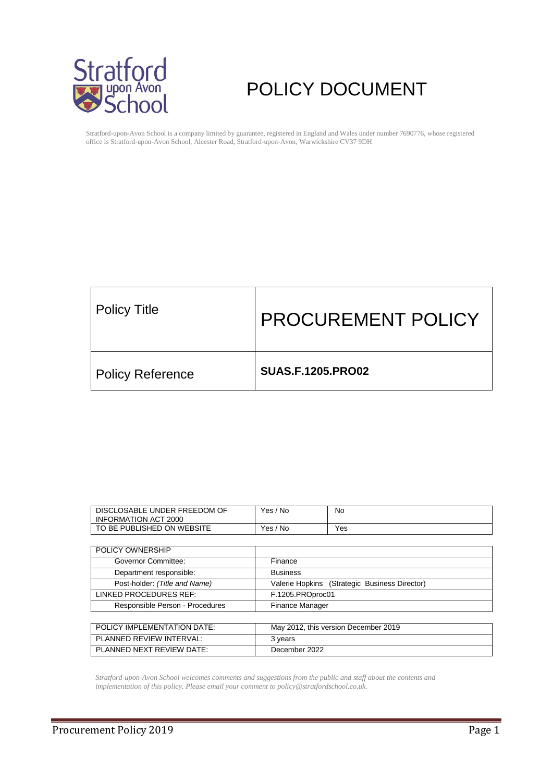

# POLICY DOCUMENT

Stratford-upon-Avon School is a company limited by guarantee, registered in England and Wales under number 7690776, whose registered office is Stratford-upon-Avon School, Alcester Road, Stratford-upon-Avon, Warwickshire CV37 9DH

| Policy Title            | <b>PROCUREMENT POLICY</b> |
|-------------------------|---------------------------|
| <b>Policy Reference</b> | <b>SUAS.F.1205.PRO02</b>  |

| DISCLOSABLE UNDER FREEDOM OF<br>INFORMATION ACT 2000 | ' No<br>Yes  | No. |
|------------------------------------------------------|--------------|-----|
| TO BE PUBLISHED ON WEBSITE                           | Yes.<br>' No | Yes |

| POLICY OWNERSHIP                |                                               |
|---------------------------------|-----------------------------------------------|
| <b>Governor Committee:</b>      | Finance                                       |
| Department responsible:         | <b>Business</b>                               |
| Post-holder: (Title and Name)   | Valerie Hopkins (Strategic Business Director) |
| LINKED PROCEDURES REF:          | F.1205.PROproc01                              |
| Responsible Person - Procedures | Finance Manager                               |
|                                 |                                               |
| POLICY IMPLEMENTATION DATE:     | May 2012, this version December 2019          |

PLANNED REVIEW INTERVAL: 3 years PLANNED NEXT REVIEW DATE: December 2022

*Stratford-upon-Avon School welcomes comments and suggestions from the public and staff about the contents and implementation of this policy. Please email your comment to policy@stratfordschool.co.uk.*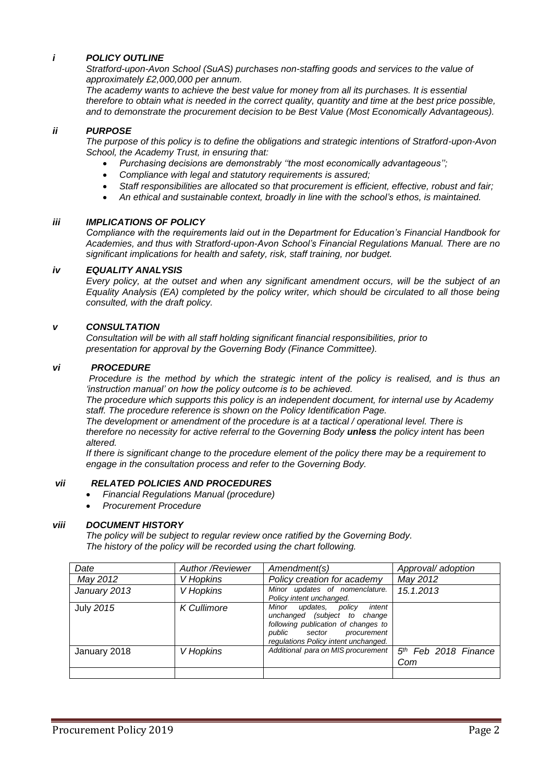## *i POLICY OUTLINE*

*Stratford-upon-Avon School (SuAS) purchases non-staffing goods and services to the value of approximately £2,000,000 per annum.*

*The academy wants to achieve the best value for money from all its purchases. It is essential therefore to obtain what is needed in the correct quality, quantity and time at the best price possible, and to demonstrate the procurement decision to be Best Value (Most Economically Advantageous).*

### *ii PURPOSE*

*The purpose of this policy is to define the obligations and strategic intentions of Stratford-upon-Avon School, the Academy Trust, in ensuring that:*

- *Purchasing decisions are demonstrably ''the most economically advantageous'';*
- *Compliance with legal and statutory requirements is assured;*
- *Staff responsibilities are allocated so that procurement is efficient, effective, robust and fair;*
- *An ethical and sustainable context, broadly in line with the school's ethos, is maintained.*

### *iii IMPLICATIONS OF POLICY*

*Compliance with the requirements laid out in the Department for Education's Financial Handbook for Academies, and thus with Stratford-upon-Avon School's Financial Regulations Manual. There are no significant implications for health and safety, risk, staff training, nor budget.* 

### *iv EQUALITY ANALYSIS*

*Every policy, at the outset and when any significant amendment occurs, will be the subject of an Equality Analysis (EA) completed by the policy writer, which should be circulated to all those being consulted, with the draft policy.*

### *v CONSULTATION*

 *Consultation will be with all staff holding significant financial responsibilities, prior to presentation for approval by the Governing Body (Finance Committee).*

### *vi PROCEDURE*

*Procedure is the method by which the strategic intent of the policy is realised, and is thus an 'instruction manual' on how the policy outcome is to be achieved.* 

*The procedure which supports this policy is an independent document, for internal use by Academy staff. The procedure reference is shown on the Policy Identification Page.*

*The development or amendment of the procedure is at a tactical / operational level. There is therefore no necessity for active referral to the Governing Body unless the policy intent has been altered.*

*If there is significant change to the procedure element of the policy there may be a requirement to engage in the consultation process and refer to the Governing Body.*

### *vii RELATED POLICIES AND PROCEDURES*

- *Financial Regulations Manual (procedure)*
- *Procurement Procedure*

#### *viii DOCUMENT HISTORY*

*The policy will be subject to regular review once ratified by the Governing Body. The history of the policy will be recorded using the chart following.*

| Date             | <b>Author /Reviewer</b> | Amendment(s)                                                                                                                                                                      | Approval/ adoption                      |
|------------------|-------------------------|-----------------------------------------------------------------------------------------------------------------------------------------------------------------------------------|-----------------------------------------|
| May 2012         | V Hopkins               | Policy creation for academy                                                                                                                                                       | May 2012                                |
| January 2013     | V Hopkins               | Minor updates of nomenclature.<br>Policy intent unchanged.                                                                                                                        | 15.1.2013                               |
| <b>July 2015</b> | <b>K</b> Cullimore      | Minor<br>intent<br>updates,<br>policy<br>unchanged (subject to change<br>following publication of changes to<br>public sector procurement<br>regulations Policy intent unchanged. |                                         |
| January 2018     | V Hopkins               | Additional para on MIS procurement                                                                                                                                                | 5 <sup>th</sup> Feb 2018 Finance<br>Com |
|                  |                         |                                                                                                                                                                                   |                                         |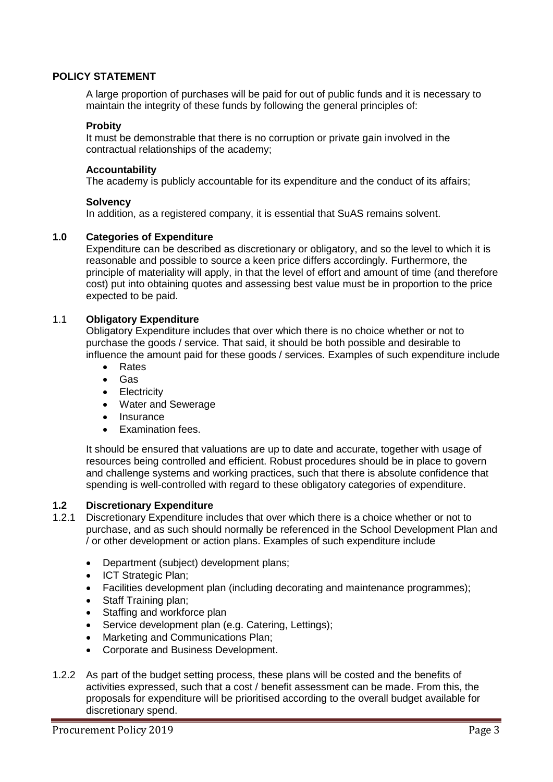# **POLICY STATEMENT**

A large proportion of purchases will be paid for out of public funds and it is necessary to maintain the integrity of these funds by following the general principles of:

## **Probity**

It must be demonstrable that there is no corruption or private gain involved in the contractual relationships of the academy;

## **Accountability**

The academy is publicly accountable for its expenditure and the conduct of its affairs;

# **Solvency**

In addition, as a registered company, it is essential that SuAS remains solvent.

# **1.0 Categories of Expenditure**

Expenditure can be described as discretionary or obligatory, and so the level to which it is reasonable and possible to source a keen price differs accordingly. Furthermore, the principle of materiality will apply, in that the level of effort and amount of time (and therefore cost) put into obtaining quotes and assessing best value must be in proportion to the price expected to be paid.

# 1.1 **Obligatory Expenditure**

Obligatory Expenditure includes that over which there is no choice whether or not to purchase the goods / service. That said, it should be both possible and desirable to influence the amount paid for these goods / services. Examples of such expenditure include

- Rates
- Gas
- Electricity
- Water and Sewerage
- Insurance
- Examination fees.

It should be ensured that valuations are up to date and accurate, together with usage of resources being controlled and efficient. Robust procedures should be in place to govern and challenge systems and working practices, such that there is absolute confidence that spending is well-controlled with regard to these obligatory categories of expenditure.

# **1.2 Discretionary Expenditure**

- 1.2.1 Discretionary Expenditure includes that over which there is a choice whether or not to purchase, and as such should normally be referenced in the School Development Plan and / or other development or action plans. Examples of such expenditure include
	- Department (subject) development plans;
	- ICT Strategic Plan:
	- Facilities development plan (including decorating and maintenance programmes);
	- Staff Training plan;
	- Staffing and workforce plan
	- Service development plan (e.g. Catering, Lettings);
	- Marketing and Communications Plan;
	- Corporate and Business Development.
- 1.2.2 As part of the budget setting process, these plans will be costed and the benefits of activities expressed, such that a cost / benefit assessment can be made. From this, the proposals for expenditure will be prioritised according to the overall budget available for discretionary spend.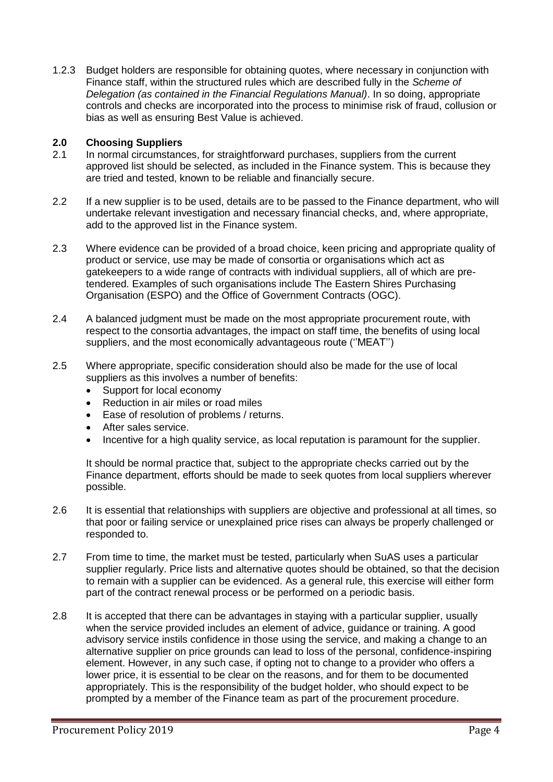1.2.3 Budget holders are responsible for obtaining quotes, where necessary in conjunction with Finance staff, within the structured rules which are described fully in the *Scheme of Delegation (as contained in the Financial Regulations Manual)*. In so doing, appropriate controls and checks are incorporated into the process to minimise risk of fraud, collusion or bias as well as ensuring Best Value is achieved.

# **2.0 Choosing Suppliers**

- 2.1 In normal circumstances, for straightforward purchases, suppliers from the current approved list should be selected, as included in the Finance system. This is because they are tried and tested, known to be reliable and financially secure.
- 2.2 If a new supplier is to be used, details are to be passed to the Finance department, who will undertake relevant investigation and necessary financial checks, and, where appropriate, add to the approved list in the Finance system.
- 2.3 Where evidence can be provided of a broad choice, keen pricing and appropriate quality of product or service, use may be made of consortia or organisations which act as gatekeepers to a wide range of contracts with individual suppliers, all of which are pretendered. Examples of such organisations include The Eastern Shires Purchasing Organisation (ESPO) and the Office of Government Contracts (OGC).
- 2.4 A balanced judgment must be made on the most appropriate procurement route, with respect to the consortia advantages, the impact on staff time, the benefits of using local suppliers, and the most economically advantageous route (''MEAT'')
- 2.5 Where appropriate, specific consideration should also be made for the use of local suppliers as this involves a number of benefits:
	- Support for local economy
	- Reduction in air miles or road miles
	- Ease of resolution of problems / returns.
	- After sales service.
	- Incentive for a high quality service, as local reputation is paramount for the supplier.

It should be normal practice that, subject to the appropriate checks carried out by the Finance department, efforts should be made to seek quotes from local suppliers wherever possible.

- 2.6 It is essential that relationships with suppliers are objective and professional at all times, so that poor or failing service or unexplained price rises can always be properly challenged or responded to.
- 2.7 From time to time, the market must be tested, particularly when SuAS uses a particular supplier regularly. Price lists and alternative quotes should be obtained, so that the decision to remain with a supplier can be evidenced. As a general rule, this exercise will either form part of the contract renewal process or be performed on a periodic basis.
- 2.8 It is accepted that there can be advantages in staying with a particular supplier, usually when the service provided includes an element of advice, guidance or training. A good advisory service instils confidence in those using the service, and making a change to an alternative supplier on price grounds can lead to loss of the personal, confidence-inspiring element. However, in any such case, if opting not to change to a provider who offers a lower price, it is essential to be clear on the reasons, and for them to be documented appropriately. This is the responsibility of the budget holder, who should expect to be prompted by a member of the Finance team as part of the procurement procedure.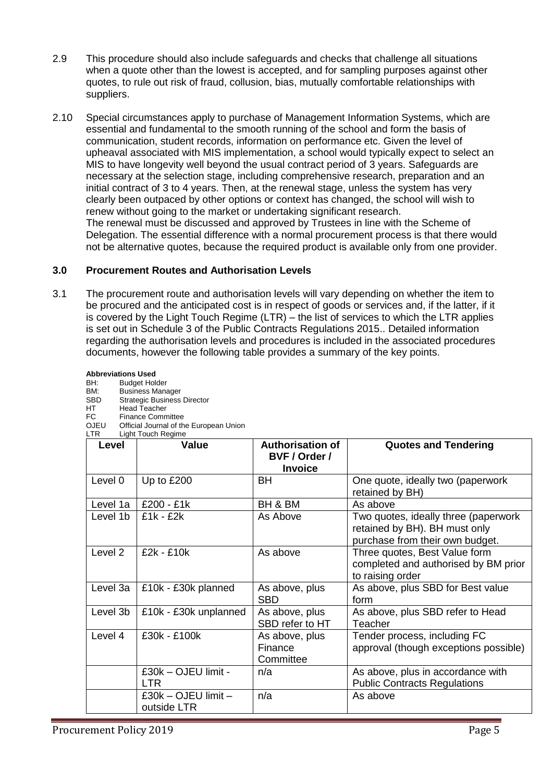- 2.9 This procedure should also include safeguards and checks that challenge all situations when a quote other than the lowest is accepted, and for sampling purposes against other quotes, to rule out risk of fraud, collusion, bias, mutually comfortable relationships with suppliers.
- 2.10 Special circumstances apply to purchase of Management Information Systems, which are essential and fundamental to the smooth running of the school and form the basis of communication, student records, information on performance etc. Given the level of upheaval associated with MIS implementation, a school would typically expect to select an MIS to have longevity well beyond the usual contract period of 3 years. Safeguards are necessary at the selection stage, including comprehensive research, preparation and an initial contract of 3 to 4 years. Then, at the renewal stage, unless the system has very clearly been outpaced by other options or context has changed, the school will wish to renew without going to the market or undertaking significant research. The renewal must be discussed and approved by Trustees in line with the Scheme of Delegation. The essential difference with a normal procurement process is that there would not be alternative quotes, because the required product is available only from one provider.

# **3.0 Procurement Routes and Authorisation Levels**

3.1 The procurement route and authorisation levels will vary depending on whether the item to be procured and the anticipated cost is in respect of goods or services and, if the latter, if it is covered by the Light Touch Regime (LTR) – the list of services to which the LTR applies is set out in Schedule 3 of the Public Contracts Regulations 2015.. Detailed information regarding the authorisation levels and procedures is included in the associated procedures documents, however the following table provides a summary of the key points.

| BM:<br><b>SBD</b><br>HT<br>FC<br><b>OJEU</b><br><b>LTR</b> | <b>Business Manager</b><br><b>Strategic Business Director</b><br><b>Head Teacher</b><br><b>Finance Committee</b><br>Official Journal of the European Union<br><b>Light Touch Regime</b> |                                                            |                                                                                                          |
|------------------------------------------------------------|-----------------------------------------------------------------------------------------------------------------------------------------------------------------------------------------|------------------------------------------------------------|----------------------------------------------------------------------------------------------------------|
| Level                                                      | Value                                                                                                                                                                                   | <b>Authorisation of</b><br>BVF / Order /<br><b>Invoice</b> | <b>Quotes and Tendering</b>                                                                              |
| Level 0                                                    | Up to £200                                                                                                                                                                              | <b>BH</b>                                                  | One quote, ideally two (paperwork<br>retained by BH)                                                     |
| Level 1a                                                   | £200 - £1k                                                                                                                                                                              | BH & BM                                                    | As above                                                                                                 |
| Level 1b                                                   | $£1k - £2k$                                                                                                                                                                             | As Above                                                   | Two quotes, ideally three (paperwork<br>retained by BH). BH must only<br>purchase from their own budget. |
| Level <sub>2</sub>                                         | £2k - £10k                                                                                                                                                                              | As above                                                   | Three quotes, Best Value form<br>completed and authorised by BM prior<br>to raising order                |
| Level 3a                                                   | £10k - £30k planned                                                                                                                                                                     | As above, plus<br><b>SBD</b>                               | As above, plus SBD for Best value<br>form                                                                |
| Level 3b                                                   | £10k - £30k unplanned                                                                                                                                                                   | As above, plus<br>SBD refer to HT                          | As above, plus SBD refer to Head<br>Teacher                                                              |
| Level 4                                                    | £30k - £100k                                                                                                                                                                            | As above, plus<br>Finance<br>Committee                     | Tender process, including FC<br>approval (though exceptions possible)                                    |
|                                                            | £30k - OJEU limit -<br><b>LTR</b>                                                                                                                                                       | n/a                                                        | As above, plus in accordance with<br><b>Public Contracts Regulations</b>                                 |
|                                                            | £30k - OJEU limit -<br>outside LTR                                                                                                                                                      | n/a                                                        | As above                                                                                                 |

**Abbreviations Used**<br>BH: Budget Hole BH: Budget Holder<br>BM: Business Mana